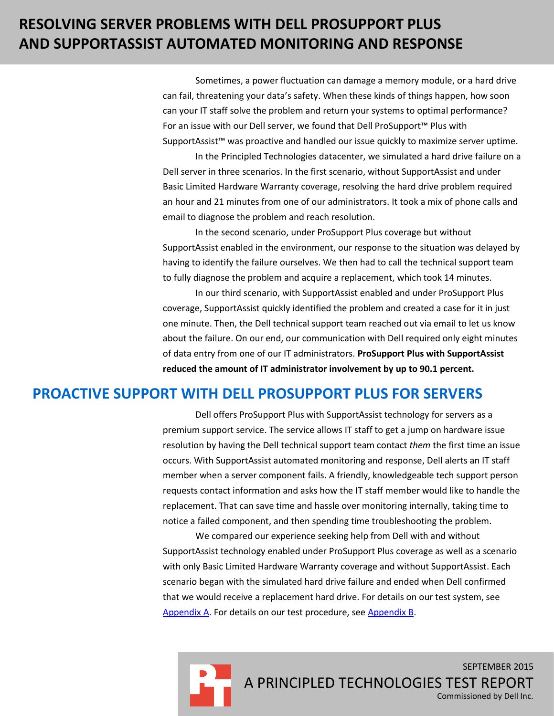# **RESOLVING SERVER PROBLEMS WITH DELL PROSUPPORT PLUS AND SUPPORTASSIST AUTOMATED MONITORING AND RESPONSE**

Sometimes, a power fluctuation can damage a memory module, or a hard drive can fail, threatening your data's safety. When these kinds of things happen, how soon can your IT staff solve the problem and return your systems to optimal performance? For an issue with our Dell server, we found that Dell ProSupport™ Plus with SupportAssist™ was proactive and handled our issue quickly to maximize server uptime.

In the Principled Technologies datacenter, we simulated a hard drive failure on a Dell server in three scenarios. In the first scenario, without SupportAssist and under Basic Limited Hardware Warranty coverage, resolving the hard drive problem required an hour and 21 minutes from one of our administrators. It took a mix of phone calls and email to diagnose the problem and reach resolution.

In the second scenario, under ProSupport Plus coverage but without SupportAssist enabled in the environment, our response to the situation was delayed by having to identify the failure ourselves. We then had to call the technical support team to fully diagnose the problem and acquire a replacement, which took 14 minutes.

In our third scenario, with SupportAssist enabled and under ProSupport Plus coverage, SupportAssist quickly identified the problem and created a case for it in just one minute. Then, the Dell technical support team reached out via email to let us know about the failure. On our end, our communication with Dell required only eight minutes of data entry from one of our IT administrators. **ProSupport Plus with SupportAssist reduced the amount of IT administrator involvement by up to 90.1 percent.**

### **PROACTIVE SUPPORT WITH DELL PROSUPPORT PLUS FOR SERVERS**

Dell offers ProSupport Plus with SupportAssist technology for servers as a premium support service. The service allows IT staff to get a jump on hardware issue resolution by having the Dell technical support team contact *them* the first time an issue occurs. With SupportAssist automated monitoring and response, Dell alerts an IT staff member when a server component fails. A friendly, knowledgeable tech support person requests contact information and asks how the IT staff member would like to handle the replacement. That can save time and hassle over monitoring internally, taking time to notice a failed component, and then spending time troubleshooting the problem.

We compared our experience seeking help from Dell with and without SupportAssist technology enabled under ProSupport Plus coverage as well as a scenario with only Basic Limited Hardware Warranty coverage and without SupportAssist. Each scenario began with the simulated hard drive failure and ended when Dell confirmed that we would receive a replacement hard drive. For details on our test system, see [Appendix A.](#page-3-0) For details on our test procedure, se[e Appendix B.](#page-5-0)

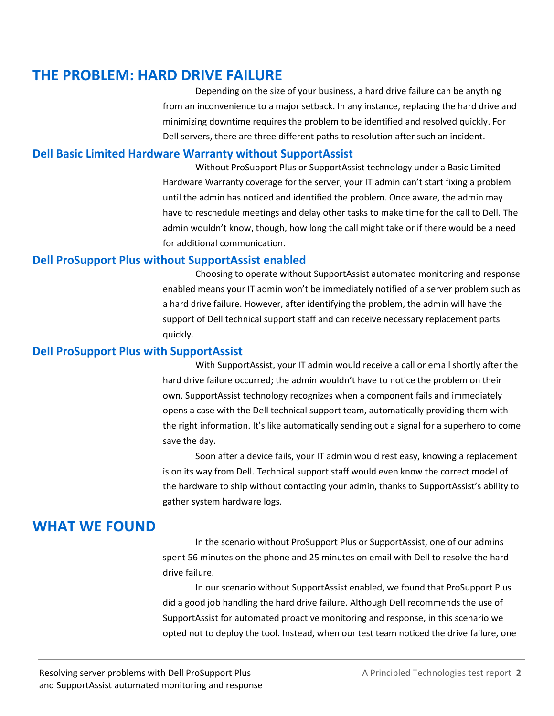### **THE PROBLEM: HARD DRIVE FAILURE**

Depending on the size of your business, a hard drive failure can be anything from an inconvenience to a major setback. In any instance, replacing the hard drive and minimizing downtime requires the problem to be identified and resolved quickly. For Dell servers, there are three different paths to resolution after such an incident.

#### **Dell Basic Limited Hardware Warranty without SupportAssist**

Without ProSupport Plus or SupportAssist technology under a Basic Limited Hardware Warranty coverage for the server, your IT admin can't start fixing a problem until the admin has noticed and identified the problem. Once aware, the admin may have to reschedule meetings and delay other tasks to make time for the call to Dell. The admin wouldn't know, though, how long the call might take or if there would be a need for additional communication.

#### **Dell ProSupport Plus without SupportAssist enabled**

Choosing to operate without SupportAssist automated monitoring and response enabled means your IT admin won't be immediately notified of a server problem such as a hard drive failure. However, after identifying the problem, the admin will have the support of Dell technical support staff and can receive necessary replacement parts quickly.

#### **Dell ProSupport Plus with SupportAssist**

With SupportAssist, your IT admin would receive a call or email shortly after the hard drive failure occurred; the admin wouldn't have to notice the problem on their own. SupportAssist technology recognizes when a component fails and immediately opens a case with the Dell technical support team, automatically providing them with the right information. It's like automatically sending out a signal for a superhero to come save the day.

Soon after a device fails, your IT admin would rest easy, knowing a replacement is on its way from Dell. Technical support staff would even know the correct model of the hardware to ship without contacting your admin, thanks to SupportAssist's ability to gather system hardware logs.

### **WHAT WE FOUND**

In the scenario without ProSupport Plus or SupportAssist, one of our admins spent 56 minutes on the phone and 25 minutes on email with Dell to resolve the hard drive failure.

In our scenario without SupportAssist enabled, we found that ProSupport Plus did a good job handling the hard drive failure. Although Dell recommends the use of SupportAssist for automated proactive monitoring and response, in this scenario we opted not to deploy the tool. Instead, when our test team noticed the drive failure, one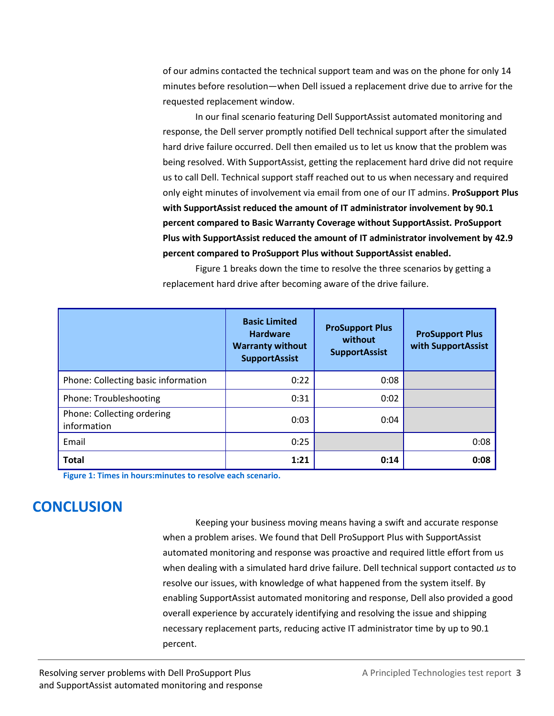of our admins contacted the technical support team and was on the phone for only 14 minutes before resolution—when Dell issued a replacement drive due to arrive for the requested replacement window.

In our final scenario featuring Dell SupportAssist automated monitoring and response, the Dell server promptly notified Dell technical support after the simulated hard drive failure occurred. Dell then emailed us to let us know that the problem was being resolved. With SupportAssist, getting the replacement hard drive did not require us to call Dell. Technical support staff reached out to us when necessary and required only eight minutes of involvement via email from one of our IT admins. **ProSupport Plus with SupportAssist reduced the amount of IT administrator involvement by 90.1 percent compared to Basic Warranty Coverage without SupportAssist. ProSupport Plus with SupportAssist reduced the amount of IT administrator involvement by 42.9 percent compared to ProSupport Plus without SupportAssist enabled.**

Figure 1 breaks down the time to resolve the three scenarios by getting a replacement hard drive after becoming aware of the drive failure.

|                                           | <b>Basic Limited</b><br><b>Hardware</b><br><b>Warranty without</b><br><b>SupportAssist</b> | <b>ProSupport Plus</b><br>without<br><b>SupportAssist</b> | <b>ProSupport Plus</b><br>with SupportAssist |
|-------------------------------------------|--------------------------------------------------------------------------------------------|-----------------------------------------------------------|----------------------------------------------|
| Phone: Collecting basic information       | 0:22                                                                                       | 0:08                                                      |                                              |
| Phone: Troubleshooting                    | 0:31                                                                                       | 0:02                                                      |                                              |
| Phone: Collecting ordering<br>information | 0:03                                                                                       | 0:04                                                      |                                              |
| Email                                     | 0:25                                                                                       |                                                           | 0:08                                         |
| <b>Total</b>                              | 1:21                                                                                       | 0:14                                                      | 0:08                                         |

**Figure 1: Times in hours:minutes to resolve each scenario.** 

## **CONCLUSION**

Keeping your business moving means having a swift and accurate response when a problem arises. We found that Dell ProSupport Plus with SupportAssist automated monitoring and response was proactive and required little effort from us when dealing with a simulated hard drive failure. Dell technical support contacted *us* to resolve our issues, with knowledge of what happened from the system itself. By enabling SupportAssist automated monitoring and response, Dell also provided a good overall experience by accurately identifying and resolving the issue and shipping necessary replacement parts, reducing active IT administrator time by up to 90.1 percent.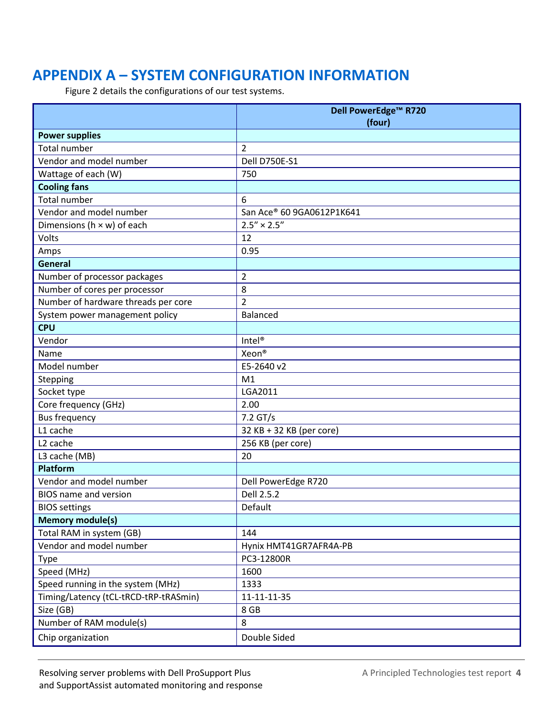# <span id="page-3-0"></span>**APPENDIX A – SYSTEM CONFIGURATION INFORMATION**

Figure 2 details the configurations of our test systems.

|                                              | Dell PowerEdge <sup>™</sup> R720 |
|----------------------------------------------|----------------------------------|
|                                              | (four)                           |
| <b>Power supplies</b><br><b>Total number</b> | $\overline{2}$                   |
| Vendor and model number                      | Dell D750E-S1                    |
|                                              | 750                              |
| Wattage of each (W)                          |                                  |
| <b>Cooling fans</b><br><b>Total number</b>   |                                  |
|                                              | 6                                |
| Vendor and model number                      | San Ace® 60 9GA0612P1K641        |
| Dimensions ( $h \times w$ ) of each          | $2.5'' \times 2.5''$             |
| Volts                                        | 12                               |
| Amps                                         | 0.95                             |
| General                                      |                                  |
| Number of processor packages                 | $\overline{2}$                   |
| Number of cores per processor                | 8                                |
| Number of hardware threads per core          | $\overline{2}$                   |
| System power management policy               | <b>Balanced</b>                  |
| <b>CPU</b>                                   |                                  |
| Vendor                                       | Intel <sup>®</sup>               |
| Name                                         | Xeon®                            |
| Model number                                 | E5-2640 v2                       |
| Stepping                                     | M1                               |
| Socket type                                  | LGA2011                          |
| Core frequency (GHz)                         | 2.00                             |
| <b>Bus frequency</b>                         | 7.2 GT/s                         |
| L1 cache                                     | 32 KB + 32 KB (per core)         |
| L <sub>2</sub> cache                         | 256 KB (per core)                |
| L3 cache (MB)                                | 20                               |
| <b>Platform</b>                              |                                  |
| Vendor and model number                      | Dell PowerEdge R720              |
| <b>BIOS</b> name and version                 | Dell 2.5.2                       |
| <b>BIOS settings</b>                         | Default                          |
| <b>Memory module(s)</b>                      |                                  |
| Total RAM in system (GB)                     | 144                              |
| Vendor and model number                      | Hynix HMT41GR7AFR4A-PB           |
| Type                                         | PC3-12800R                       |
| Speed (MHz)                                  | 1600                             |
| Speed running in the system (MHz)            | 1333                             |
| Timing/Latency (tCL-tRCD-tRP-tRASmin)        | 11-11-11-35                      |
| Size (GB)                                    | 8 GB                             |
| Number of RAM module(s)                      | 8                                |
| Chip organization                            | Double Sided                     |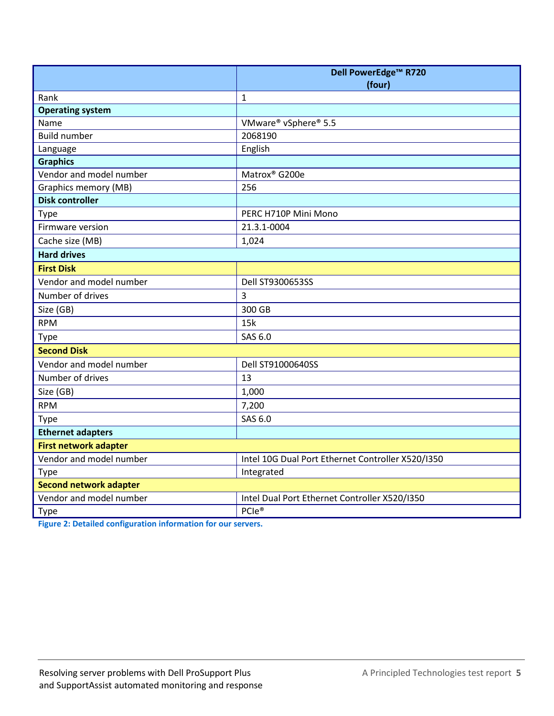|                                 | Dell PowerEdge <sup>™</sup> R720                  |  |
|---------------------------------|---------------------------------------------------|--|
| Rank                            | (four)                                            |  |
|                                 | $\mathbf{1}$                                      |  |
| <b>Operating system</b><br>Name |                                                   |  |
| <b>Build number</b>             | VMware® vSphere® 5.5<br>2068190                   |  |
|                                 | English                                           |  |
| Language<br><b>Graphics</b>     |                                                   |  |
| Vendor and model number         | Matrox <sup>®</sup> G200e                         |  |
| <b>Graphics memory (MB)</b>     | 256                                               |  |
| <b>Disk controller</b>          |                                                   |  |
| Type                            | PERC H710P Mini Mono                              |  |
| Firmware version                | 21.3.1-0004                                       |  |
| Cache size (MB)                 | 1,024                                             |  |
| <b>Hard drives</b>              |                                                   |  |
| <b>First Disk</b>               |                                                   |  |
|                                 |                                                   |  |
| Vendor and model number         | Dell ST9300653SS                                  |  |
| Number of drives                | $\overline{3}$                                    |  |
| Size (GB)                       | 300 GB                                            |  |
| <b>RPM</b>                      | 15k                                               |  |
| Type                            | SAS 6.0                                           |  |
| <b>Second Disk</b>              |                                                   |  |
| Vendor and model number         | Dell ST91000640SS                                 |  |
| Number of drives                | 13                                                |  |
| Size (GB)                       | 1,000                                             |  |
| <b>RPM</b>                      | 7,200                                             |  |
| Type                            | SAS 6.0                                           |  |
| <b>Ethernet adapters</b>        |                                                   |  |
| <b>First network adapter</b>    |                                                   |  |
| Vendor and model number         | Intel 10G Dual Port Ethernet Controller X520/I350 |  |
| Type                            | Integrated                                        |  |
| <b>Second network adapter</b>   |                                                   |  |
| Vendor and model number         | Intel Dual Port Ethernet Controller X520/I350     |  |
| Type                            | PCIe®                                             |  |

**Figure 2: Detailed configuration information for our servers.**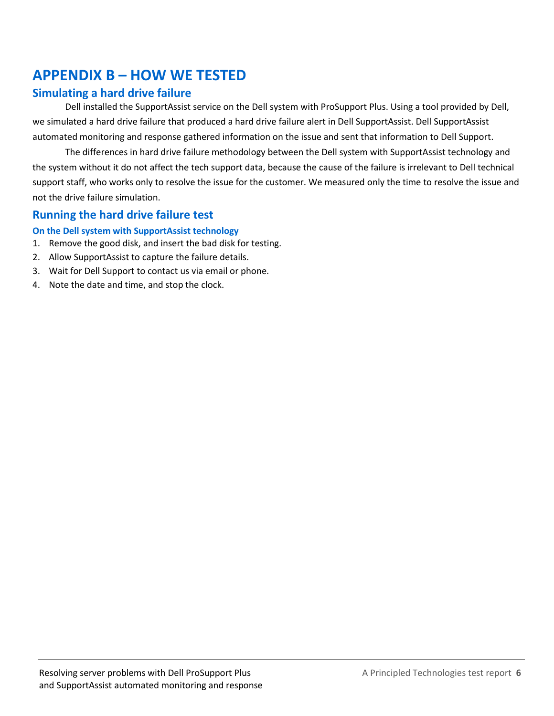## <span id="page-5-0"></span>**APPENDIX B – HOW WE TESTED**

### **Simulating a hard drive failure**

Dell installed the SupportAssist service on the Dell system with ProSupport Plus. Using a tool provided by Dell, we simulated a hard drive failure that produced a hard drive failure alert in Dell SupportAssist. Dell SupportAssist automated monitoring and response gathered information on the issue and sent that information to Dell Support.

The differences in hard drive failure methodology between the Dell system with SupportAssist technology and the system without it do not affect the tech support data, because the cause of the failure is irrelevant to Dell technical support staff, who works only to resolve the issue for the customer. We measured only the time to resolve the issue and not the drive failure simulation.

#### **Running the hard drive failure test**

#### **On the Dell system with SupportAssist technology**

- 1. Remove the good disk, and insert the bad disk for testing.
- 2. Allow SupportAssist to capture the failure details.
- 3. Wait for Dell Support to contact us via email or phone.
- 4. Note the date and time, and stop the clock.